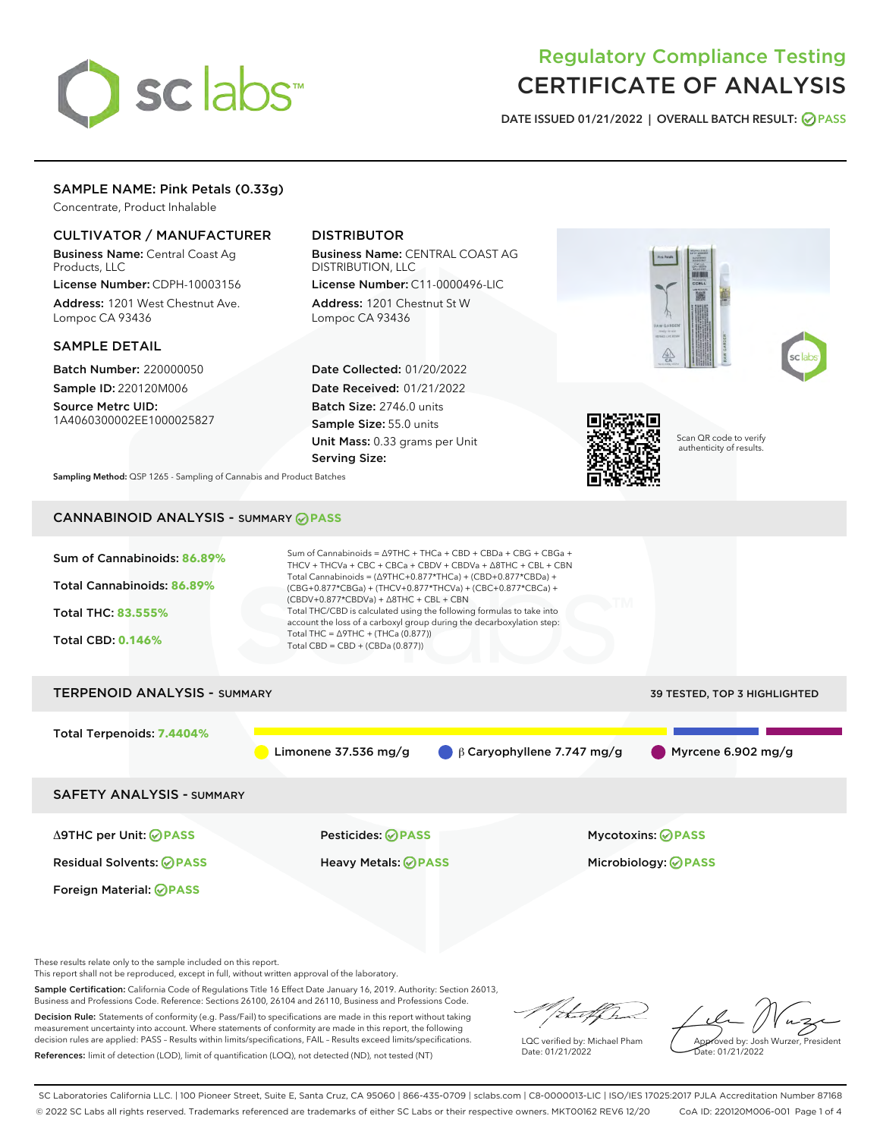

# Regulatory Compliance Testing CERTIFICATE OF ANALYSIS

DATE ISSUED 01/21/2022 | OVERALL BATCH RESULT: @ PASS

# SAMPLE NAME: Pink Petals (0.33g)

Concentrate, Product Inhalable

# CULTIVATOR / MANUFACTURER

Business Name: Central Coast Ag Products, LLC

License Number: CDPH-10003156 Address: 1201 West Chestnut Ave. Lompoc CA 93436

### SAMPLE DETAIL

Batch Number: 220000050 Sample ID: 220120M006

Source Metrc UID: 1A4060300002EE1000025827

# DISTRIBUTOR

Business Name: CENTRAL COAST AG DISTRIBUTION, LLC License Number: C11-0000496-LIC

Address: 1201 Chestnut St W Lompoc CA 93436

Date Collected: 01/20/2022 Date Received: 01/21/2022 Batch Size: 2746.0 units Sample Size: 55.0 units Unit Mass: 0.33 grams per Unit Serving Size:



Scan QR code to verify authenticity of results.

Sampling Method: QSP 1265 - Sampling of Cannabis and Product Batches

# CANNABINOID ANALYSIS - SUMMARY **PASS**

| Sum of Cannabinoids: 86.89%<br>Total Cannabinoids: 86.89%<br><b>Total THC: 83.555%</b><br><b>Total CBD: 0.146%</b> | Sum of Cannabinoids = $\triangle$ 9THC + THCa + CBD + CBDa + CBG + CBGa +<br>THCV + THCVa + CBC + CBCa + CBDV + CBDVa + A8THC + CBL + CBN<br>Total Cannabinoids = $(\Delta$ 9THC+0.877*THCa) + (CBD+0.877*CBDa) +<br>(CBG+0.877*CBGa) + (THCV+0.877*THCVa) + (CBC+0.877*CBCa) +<br>$(CBDV+0.877*CBDVa) + \Delta 8THC + CBL + CBN$<br>Total THC/CBD is calculated using the following formulas to take into<br>account the loss of a carboxyl group during the decarboxylation step:<br>Total THC = $\triangle$ 9THC + (THCa (0.877))<br>Total CBD = $CBD + (CBDa (0.877))$ |                                                                   |  |  |  |
|--------------------------------------------------------------------------------------------------------------------|----------------------------------------------------------------------------------------------------------------------------------------------------------------------------------------------------------------------------------------------------------------------------------------------------------------------------------------------------------------------------------------------------------------------------------------------------------------------------------------------------------------------------------------------------------------------------|-------------------------------------------------------------------|--|--|--|
| <b>TERPENOID ANALYSIS - SUMMARY</b>                                                                                |                                                                                                                                                                                                                                                                                                                                                                                                                                                                                                                                                                            | <b>39 TESTED, TOP 3 HIGHLIGHTED</b>                               |  |  |  |
| Total Terpenoids: 7.4404%                                                                                          | Limonene 37.536 mg/g                                                                                                                                                                                                                                                                                                                                                                                                                                                                                                                                                       | $\bigcirc$ $\beta$ Caryophyllene 7.747 mg/g<br>Myrcene 6.902 mg/g |  |  |  |
| <b>SAFETY ANALYSIS - SUMMARY</b>                                                                                   |                                                                                                                                                                                                                                                                                                                                                                                                                                                                                                                                                                            |                                                                   |  |  |  |
| ∆9THC per Unit: ⊘PASS                                                                                              | Pesticides: ⊘PASS                                                                                                                                                                                                                                                                                                                                                                                                                                                                                                                                                          | <b>Mycotoxins: ⊘PASS</b>                                          |  |  |  |
| <b>Residual Solvents: ⊘PASS</b>                                                                                    | <b>Heavy Metals: ⊘PASS</b>                                                                                                                                                                                                                                                                                                                                                                                                                                                                                                                                                 | Microbiology: <b>OPASS</b>                                        |  |  |  |
| Foreign Material: <b>⊘ PASS</b>                                                                                    |                                                                                                                                                                                                                                                                                                                                                                                                                                                                                                                                                                            |                                                                   |  |  |  |

These results relate only to the sample included on this report.

This report shall not be reproduced, except in full, without written approval of the laboratory.

Sample Certification: California Code of Regulations Title 16 Effect Date January 16, 2019. Authority: Section 26013, Business and Professions Code. Reference: Sections 26100, 26104 and 26110, Business and Professions Code.

Decision Rule: Statements of conformity (e.g. Pass/Fail) to specifications are made in this report without taking measurement uncertainty into account. Where statements of conformity are made in this report, the following decision rules are applied: PASS – Results within limits/specifications, FAIL – Results exceed limits/specifications. References: limit of detection (LOD), limit of quantification (LOQ), not detected (ND), not tested (NT)

Theoff had

LQC verified by: Michael Pham Date: 01/21/2022

Approved by: Josh Wurzer, President ate: 01/21/2022

SC Laboratories California LLC. | 100 Pioneer Street, Suite E, Santa Cruz, CA 95060 | 866-435-0709 | sclabs.com | C8-0000013-LIC | ISO/IES 17025:2017 PJLA Accreditation Number 87168 © 2022 SC Labs all rights reserved. Trademarks referenced are trademarks of either SC Labs or their respective owners. MKT00162 REV6 12/20 CoA ID: 220120M006-001 Page 1 of 4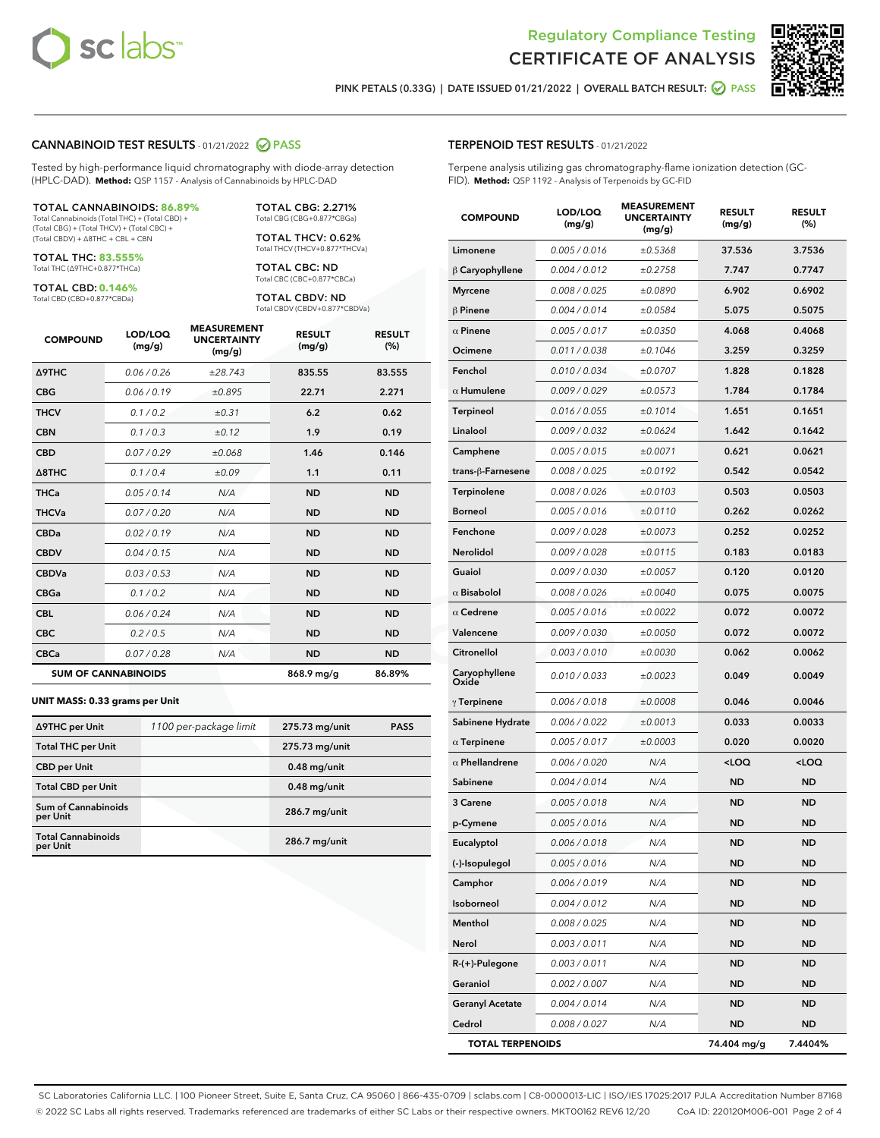

Terpene analysis utilizing gas chromatography-flame ionization detection (GC-



PINK PETALS (0.33G) | DATE ISSUED 01/21/2022 | OVERALL BATCH RESULT:  $\bigcirc$  PASS

TERPENOID TEST RESULTS - 01/21/2022

FID). **Method:** QSP 1192 - Analysis of Terpenoids by GC-FID

### CANNABINOID TEST RESULTS - 01/21/2022 2 PASS

Tested by high-performance liquid chromatography with diode-array detection (HPLC-DAD). **Method:** QSP 1157 - Analysis of Cannabinoids by HPLC-DAD

#### TOTAL CANNABINOIDS: **86.89%**

Total Cannabinoids (Total THC) + (Total CBD) + (Total CBG) + (Total THCV) + (Total CBC) + (Total CBDV) + ∆8THC + CBL + CBN

TOTAL THC: **83.555%** Total THC (∆9THC+0.877\*THCa)

TOTAL CBD: **0.146%** Total CBD (CBD+0.877\*CBDa)

TOTAL CBG: 2.271% Total CBG (CBG+0.877\*CBGa)

TOTAL THCV: 0.62% Total THCV (THCV+0.877\*THCVa)

TOTAL CBC: ND Total CBC (CBC+0.877\*CBCa)

TOTAL CBDV: ND Total CBDV (CBDV+0.877\*CBDVa)

| <b>COMPOUND</b>            | LOD/LOQ<br>(mg/g) | <b>MEASUREMENT</b><br><b>UNCERTAINTY</b><br>(mg/g) | <b>RESULT</b><br>(mg/g) | <b>RESULT</b><br>(%) |
|----------------------------|-------------------|----------------------------------------------------|-------------------------|----------------------|
| Δ9THC                      | 0.06 / 0.26       | ±28.743                                            | 835.55                  | 83.555               |
| <b>CBG</b>                 | 0.06 / 0.19       | ±0.895                                             | 22.71                   | 2.271                |
| <b>THCV</b>                | 0.1 / 0.2         | ±0.31                                              | 6.2                     | 0.62                 |
| <b>CBN</b>                 | 0.1/0.3           | ±0.12                                              | 1.9                     | 0.19                 |
| <b>CBD</b>                 | 0.07/0.29         | ±0.068                                             | 1.46                    | 0.146                |
| $\triangle$ 8THC           | 0.1 / 0.4         | ±0.09                                              | 1.1                     | 0.11                 |
| <b>THCa</b>                | 0.05/0.14         | N/A                                                | <b>ND</b>               | <b>ND</b>            |
| <b>THCVa</b>               | 0.07/0.20         | N/A                                                | <b>ND</b>               | <b>ND</b>            |
| <b>CBDa</b>                | 0.02/0.19         | N/A                                                | <b>ND</b>               | <b>ND</b>            |
| <b>CBDV</b>                | 0.04 / 0.15       | N/A                                                | <b>ND</b>               | <b>ND</b>            |
| <b>CBDVa</b>               | 0.03/0.53         | N/A                                                | <b>ND</b>               | <b>ND</b>            |
| <b>CBGa</b>                | 0.1/0.2           | N/A                                                | <b>ND</b>               | <b>ND</b>            |
| <b>CBL</b>                 | 0.06 / 0.24       | N/A                                                | <b>ND</b>               | <b>ND</b>            |
| <b>CBC</b>                 | 0.2 / 0.5         | N/A                                                | <b>ND</b>               | <b>ND</b>            |
| <b>CBCa</b>                | 0.07 / 0.28       | N/A                                                | <b>ND</b>               | <b>ND</b>            |
| <b>SUM OF CANNABINOIDS</b> |                   |                                                    | 868.9 mg/g              | 86.89%               |

#### **UNIT MASS: 0.33 grams per Unit**

| ∆9THC per Unit                         | 1100 per-package limit | 275.73 mg/unit | <b>PASS</b> |
|----------------------------------------|------------------------|----------------|-------------|
| <b>Total THC per Unit</b>              |                        | 275.73 mg/unit |             |
| <b>CBD per Unit</b>                    |                        | $0.48$ mg/unit |             |
| <b>Total CBD per Unit</b>              |                        | $0.48$ mg/unit |             |
| <b>Sum of Cannabinoids</b><br>per Unit |                        | 286.7 mg/unit  |             |
| <b>Total Cannabinoids</b><br>per Unit  |                        | 286.7 mg/unit  |             |

| <b>COMPOUND</b>         | LOD/LOQ<br>(mg/g) | <b>MEASUREMENT</b><br><b>UNCERTAINTY</b><br>(mg/g) | <b>RESULT</b><br>(mg/g)                         | <b>RESULT</b><br>(%) |
|-------------------------|-------------------|----------------------------------------------------|-------------------------------------------------|----------------------|
| Limonene                | 0.005 / 0.016     | ±0.5368                                            | 37.536                                          | 3.7536               |
| $\beta$ Caryophyllene   | 0.004 / 0.012     | ±0.2758                                            | 7.747                                           | 0.7747               |
| <b>Myrcene</b>          | 0.008 / 0.025     | ±0.0890                                            | 6.902                                           | 0.6902               |
| $\beta$ Pinene          | 0.004 / 0.014     | ±0.0584                                            | 5.075                                           | 0.5075               |
| $\alpha$ Pinene         | 0.005 / 0.017     | ±0.0350                                            | 4.068                                           | 0.4068               |
| Ocimene                 | 0.011 / 0.038     | ±0.1046                                            | 3.259                                           | 0.3259               |
| Fenchol                 | 0.010 / 0.034     | ±0.0707                                            | 1.828                                           | 0.1828               |
| $\alpha$ Humulene       | 0.009/0.029       | ±0.0573                                            | 1.784                                           | 0.1784               |
| Terpineol               | 0.016 / 0.055     | ±0.1014                                            | 1.651                                           | 0.1651               |
| Linalool                | 0.009 / 0.032     | ±0.0624                                            | 1.642                                           | 0.1642               |
| Camphene                | 0.005 / 0.015     | ±0.0071                                            | 0.621                                           | 0.0621               |
| trans-β-Farnesene       | 0.008 / 0.025     | ±0.0192                                            | 0.542                                           | 0.0542               |
| Terpinolene             | 0.008 / 0.026     | ±0.0103                                            | 0.503                                           | 0.0503               |
| <b>Borneol</b>          | 0.005 / 0.016     | ±0.0110                                            | 0.262                                           | 0.0262               |
| Fenchone                | 0.009 / 0.028     | ±0.0073                                            | 0.252                                           | 0.0252               |
| <b>Nerolidol</b>        | 0.009 / 0.028     | ±0.0115                                            | 0.183                                           | 0.0183               |
| Guaiol                  | 0.009 / 0.030     | ±0.0057                                            | 0.120                                           | 0.0120               |
| $\alpha$ Bisabolol      | 0.008 / 0.026     | ±0.0040                                            | 0.075                                           | 0.0075               |
| $\alpha$ Cedrene        | 0.005 / 0.016     | ±0.0022                                            | 0.072                                           | 0.0072               |
| Valencene               | 0.009 / 0.030     | ±0.0050                                            | 0.072                                           | 0.0072               |
| Citronellol             | 0.003 / 0.010     | ±0.0030                                            | 0.062                                           | 0.0062               |
| Caryophyllene<br>Oxide  | 0.010 / 0.033     | ±0.0023                                            | 0.049                                           | 0.0049               |
| $\gamma$ Terpinene      | 0.006 / 0.018     | ±0.0008                                            | 0.046                                           | 0.0046               |
| Sabinene Hydrate        | 0.006 / 0.022     | ±0.0013                                            | 0.033                                           | 0.0033               |
| $\alpha$ Terpinene      | 0.005 / 0.017     | ±0.0003                                            | 0.020                                           | 0.0020               |
| $\alpha$ Phellandrene   | 0.006 / 0.020     | N/A                                                | <loq< th=""><th><loq< th=""></loq<></th></loq<> | <loq< th=""></loq<>  |
| Sabinene                | 0.004 / 0.014     | N/A                                                | ND                                              | <b>ND</b>            |
| 3 Carene                | 0.005 / 0.018     | N/A                                                | ND                                              | <b>ND</b>            |
| p-Cymene                | 0.005 / 0.016     | N/A                                                | ND                                              | ND                   |
| <b>Eucalyptol</b>       | 0.006 / 0.018     | N/A                                                | <b>ND</b>                                       | ND                   |
| (-)-Isopulegol          | 0.005 / 0.016     | N/A                                                | ND                                              | ND                   |
| Camphor                 | 0.006 / 0.019     | N/A                                                | <b>ND</b>                                       | ND                   |
| Isoborneol              | 0.004 / 0.012     | N/A                                                | ND                                              | ND                   |
| Menthol                 | 0.008 / 0.025     | N/A                                                | <b>ND</b>                                       | ND                   |
| Nerol                   | 0.003 / 0.011     | N/A                                                | ND                                              | ND                   |
| R-(+)-Pulegone          | 0.003 / 0.011     | N/A                                                | ND                                              | ND                   |
| Geraniol                | 0.002 / 0.007     | N/A                                                | ND                                              | ND                   |
| <b>Geranyl Acetate</b>  | 0.004 / 0.014     | N/A                                                | ND                                              | ND                   |
| Cedrol                  | 0.008 / 0.027     | N/A                                                | <b>ND</b>                                       | ND                   |
| <b>TOTAL TERPENOIDS</b> |                   |                                                    | 74.404 mg/g                                     | 7.4404%              |

SC Laboratories California LLC. | 100 Pioneer Street, Suite E, Santa Cruz, CA 95060 | 866-435-0709 | sclabs.com | C8-0000013-LIC | ISO/IES 17025:2017 PJLA Accreditation Number 87168 © 2022 SC Labs all rights reserved. Trademarks referenced are trademarks of either SC Labs or their respective owners. MKT00162 REV6 12/20 CoA ID: 220120M006-001 Page 2 of 4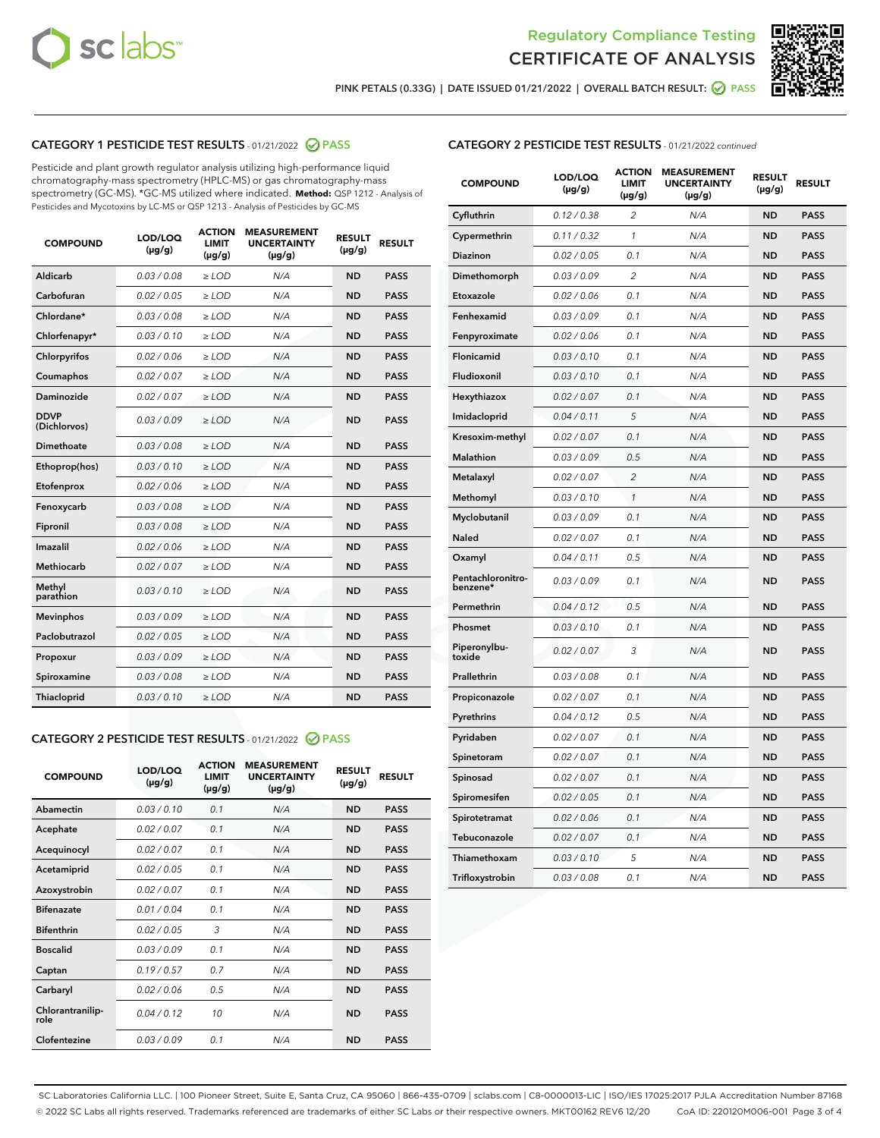



PINK PETALS (0.33G) | DATE ISSUED 01/21/2022 | OVERALL BATCH RESULT:  $\bigcirc$  PASS

# CATEGORY 1 PESTICIDE TEST RESULTS - 01/21/2022 2 PASS

Pesticide and plant growth regulator analysis utilizing high-performance liquid chromatography-mass spectrometry (HPLC-MS) or gas chromatography-mass spectrometry (GC-MS). \*GC-MS utilized where indicated. **Method:** QSP 1212 - Analysis of Pesticides and Mycotoxins by LC-MS or QSP 1213 - Analysis of Pesticides by GC-MS

| 0.03 / 0.08<br><b>ND</b><br><b>PASS</b><br>Aldicarb<br>$\ge$ LOD<br>N/A<br>Carbofuran<br>0.02 / 0.05<br>$\ge$ LOD<br>N/A<br><b>ND</b><br><b>PASS</b><br>Chlordane*<br>0.03 / 0.08<br>$\geq$ LOD<br>N/A<br><b>ND</b><br><b>PASS</b><br>Chlorfenapyr*<br>0.03/0.10<br>$\ge$ LOD<br>N/A<br><b>ND</b><br><b>PASS</b><br>Chlorpyrifos<br>0.02 / 0.06<br>N/A<br><b>ND</b><br><b>PASS</b><br>≥ LOD<br>Coumaphos<br>0.02 / 0.07<br>N/A<br><b>ND</b><br><b>PASS</b><br>$\ge$ LOD<br>Daminozide<br>0.02 / 0.07<br>N/A<br><b>ND</b><br><b>PASS</b><br>$\geq$ LOD<br><b>DDVP</b><br>0.03/0.09<br>$\ge$ LOD<br>N/A<br><b>ND</b><br><b>PASS</b><br>(Dichlorvos)<br>Dimethoate<br>0.03 / 0.08<br><b>PASS</b><br>$\ge$ LOD<br>N/A<br><b>ND</b><br><b>PASS</b><br>0.03/0.10<br>N/A<br><b>ND</b><br>Ethoprop(hos)<br>$>$ LOD<br>0.02 / 0.06<br>N/A<br><b>ND</b><br><b>PASS</b><br>Etofenprox<br>$\ge$ LOD<br>Fenoxycarb<br>0.03 / 0.08<br>$\ge$ LOD<br>N/A<br><b>ND</b><br><b>PASS</b><br>0.03/0.08<br>$\ge$ LOD<br>N/A<br><b>ND</b><br><b>PASS</b><br>Fipronil<br>Imazalil<br>0.02 / 0.06<br>N/A<br><b>ND</b><br><b>PASS</b><br>$\ge$ LOD<br>Methiocarb<br>0.02 / 0.07<br>$\ge$ LOD<br>N/A<br><b>ND</b><br><b>PASS</b><br>Methyl<br>N/A<br><b>ND</b><br><b>PASS</b><br>0.03/0.10<br>$\geq$ LOD<br>parathion<br>0.03/0.09<br><b>ND</b><br><b>Mevinphos</b><br>$\geq$ LOD<br>N/A<br><b>PASS</b><br>Paclobutrazol<br>0.02 / 0.05<br>N/A<br><b>PASS</b><br>$\ge$ LOD<br><b>ND</b><br>0.03 / 0.09<br>N/A<br>$\ge$ LOD<br><b>ND</b><br><b>PASS</b><br>Propoxur<br>0.03 / 0.08<br><b>ND</b><br><b>PASS</b><br>Spiroxamine<br>$\ge$ LOD<br>N/A<br>Thiacloprid<br>0.03/0.10<br>$\ge$ LOD<br>N/A<br><b>ND</b><br><b>PASS</b> | <b>COMPOUND</b> | LOD/LOQ<br>$(\mu g/g)$ | <b>ACTION</b><br><b>LIMIT</b><br>$(\mu g/g)$ | <b>MEASUREMENT</b><br><b>UNCERTAINTY</b><br>$(\mu g/g)$ | <b>RESULT</b><br>$(\mu g/g)$ | <b>RESULT</b> |
|---------------------------------------------------------------------------------------------------------------------------------------------------------------------------------------------------------------------------------------------------------------------------------------------------------------------------------------------------------------------------------------------------------------------------------------------------------------------------------------------------------------------------------------------------------------------------------------------------------------------------------------------------------------------------------------------------------------------------------------------------------------------------------------------------------------------------------------------------------------------------------------------------------------------------------------------------------------------------------------------------------------------------------------------------------------------------------------------------------------------------------------------------------------------------------------------------------------------------------------------------------------------------------------------------------------------------------------------------------------------------------------------------------------------------------------------------------------------------------------------------------------------------------------------------------------------------------------------------------------------------------------------------------------------------------------------------|-----------------|------------------------|----------------------------------------------|---------------------------------------------------------|------------------------------|---------------|
|                                                                                                                                                                                                                                                                                                                                                                                                                                                                                                                                                                                                                                                                                                                                                                                                                                                                                                                                                                                                                                                                                                                                                                                                                                                                                                                                                                                                                                                                                                                                                                                                                                                                                                   |                 |                        |                                              |                                                         |                              |               |
|                                                                                                                                                                                                                                                                                                                                                                                                                                                                                                                                                                                                                                                                                                                                                                                                                                                                                                                                                                                                                                                                                                                                                                                                                                                                                                                                                                                                                                                                                                                                                                                                                                                                                                   |                 |                        |                                              |                                                         |                              |               |
|                                                                                                                                                                                                                                                                                                                                                                                                                                                                                                                                                                                                                                                                                                                                                                                                                                                                                                                                                                                                                                                                                                                                                                                                                                                                                                                                                                                                                                                                                                                                                                                                                                                                                                   |                 |                        |                                              |                                                         |                              |               |
|                                                                                                                                                                                                                                                                                                                                                                                                                                                                                                                                                                                                                                                                                                                                                                                                                                                                                                                                                                                                                                                                                                                                                                                                                                                                                                                                                                                                                                                                                                                                                                                                                                                                                                   |                 |                        |                                              |                                                         |                              |               |
|                                                                                                                                                                                                                                                                                                                                                                                                                                                                                                                                                                                                                                                                                                                                                                                                                                                                                                                                                                                                                                                                                                                                                                                                                                                                                                                                                                                                                                                                                                                                                                                                                                                                                                   |                 |                        |                                              |                                                         |                              |               |
|                                                                                                                                                                                                                                                                                                                                                                                                                                                                                                                                                                                                                                                                                                                                                                                                                                                                                                                                                                                                                                                                                                                                                                                                                                                                                                                                                                                                                                                                                                                                                                                                                                                                                                   |                 |                        |                                              |                                                         |                              |               |
|                                                                                                                                                                                                                                                                                                                                                                                                                                                                                                                                                                                                                                                                                                                                                                                                                                                                                                                                                                                                                                                                                                                                                                                                                                                                                                                                                                                                                                                                                                                                                                                                                                                                                                   |                 |                        |                                              |                                                         |                              |               |
|                                                                                                                                                                                                                                                                                                                                                                                                                                                                                                                                                                                                                                                                                                                                                                                                                                                                                                                                                                                                                                                                                                                                                                                                                                                                                                                                                                                                                                                                                                                                                                                                                                                                                                   |                 |                        |                                              |                                                         |                              |               |
|                                                                                                                                                                                                                                                                                                                                                                                                                                                                                                                                                                                                                                                                                                                                                                                                                                                                                                                                                                                                                                                                                                                                                                                                                                                                                                                                                                                                                                                                                                                                                                                                                                                                                                   |                 |                        |                                              |                                                         |                              |               |
|                                                                                                                                                                                                                                                                                                                                                                                                                                                                                                                                                                                                                                                                                                                                                                                                                                                                                                                                                                                                                                                                                                                                                                                                                                                                                                                                                                                                                                                                                                                                                                                                                                                                                                   |                 |                        |                                              |                                                         |                              |               |
|                                                                                                                                                                                                                                                                                                                                                                                                                                                                                                                                                                                                                                                                                                                                                                                                                                                                                                                                                                                                                                                                                                                                                                                                                                                                                                                                                                                                                                                                                                                                                                                                                                                                                                   |                 |                        |                                              |                                                         |                              |               |
|                                                                                                                                                                                                                                                                                                                                                                                                                                                                                                                                                                                                                                                                                                                                                                                                                                                                                                                                                                                                                                                                                                                                                                                                                                                                                                                                                                                                                                                                                                                                                                                                                                                                                                   |                 |                        |                                              |                                                         |                              |               |
|                                                                                                                                                                                                                                                                                                                                                                                                                                                                                                                                                                                                                                                                                                                                                                                                                                                                                                                                                                                                                                                                                                                                                                                                                                                                                                                                                                                                                                                                                                                                                                                                                                                                                                   |                 |                        |                                              |                                                         |                              |               |
|                                                                                                                                                                                                                                                                                                                                                                                                                                                                                                                                                                                                                                                                                                                                                                                                                                                                                                                                                                                                                                                                                                                                                                                                                                                                                                                                                                                                                                                                                                                                                                                                                                                                                                   |                 |                        |                                              |                                                         |                              |               |
|                                                                                                                                                                                                                                                                                                                                                                                                                                                                                                                                                                                                                                                                                                                                                                                                                                                                                                                                                                                                                                                                                                                                                                                                                                                                                                                                                                                                                                                                                                                                                                                                                                                                                                   |                 |                        |                                              |                                                         |                              |               |
|                                                                                                                                                                                                                                                                                                                                                                                                                                                                                                                                                                                                                                                                                                                                                                                                                                                                                                                                                                                                                                                                                                                                                                                                                                                                                                                                                                                                                                                                                                                                                                                                                                                                                                   |                 |                        |                                              |                                                         |                              |               |
|                                                                                                                                                                                                                                                                                                                                                                                                                                                                                                                                                                                                                                                                                                                                                                                                                                                                                                                                                                                                                                                                                                                                                                                                                                                                                                                                                                                                                                                                                                                                                                                                                                                                                                   |                 |                        |                                              |                                                         |                              |               |
|                                                                                                                                                                                                                                                                                                                                                                                                                                                                                                                                                                                                                                                                                                                                                                                                                                                                                                                                                                                                                                                                                                                                                                                                                                                                                                                                                                                                                                                                                                                                                                                                                                                                                                   |                 |                        |                                              |                                                         |                              |               |
|                                                                                                                                                                                                                                                                                                                                                                                                                                                                                                                                                                                                                                                                                                                                                                                                                                                                                                                                                                                                                                                                                                                                                                                                                                                                                                                                                                                                                                                                                                                                                                                                                                                                                                   |                 |                        |                                              |                                                         |                              |               |
|                                                                                                                                                                                                                                                                                                                                                                                                                                                                                                                                                                                                                                                                                                                                                                                                                                                                                                                                                                                                                                                                                                                                                                                                                                                                                                                                                                                                                                                                                                                                                                                                                                                                                                   |                 |                        |                                              |                                                         |                              |               |
|                                                                                                                                                                                                                                                                                                                                                                                                                                                                                                                                                                                                                                                                                                                                                                                                                                                                                                                                                                                                                                                                                                                                                                                                                                                                                                                                                                                                                                                                                                                                                                                                                                                                                                   |                 |                        |                                              |                                                         |                              |               |

# CATEGORY 2 PESTICIDE TEST RESULTS - 01/21/2022 2 PASS

| <b>COMPOUND</b>          | LOD/LOO<br>$(\mu g/g)$ | <b>ACTION</b><br>LIMIT<br>$(\mu g/g)$ | <b>MEASUREMENT</b><br><b>UNCERTAINTY</b><br>$(\mu g/g)$ | <b>RESULT</b><br>$(\mu g/g)$ | <b>RESULT</b> |
|--------------------------|------------------------|---------------------------------------|---------------------------------------------------------|------------------------------|---------------|
| Abamectin                | 0.03/0.10              | 0.1                                   | N/A                                                     | <b>ND</b>                    | <b>PASS</b>   |
| Acephate                 | 0.02/0.07              | 0.1                                   | N/A                                                     | <b>ND</b>                    | <b>PASS</b>   |
| Acequinocyl              | 0.02/0.07              | 0.1                                   | N/A                                                     | <b>ND</b>                    | <b>PASS</b>   |
| Acetamiprid              | 0.02/0.05              | 0.1                                   | N/A                                                     | <b>ND</b>                    | <b>PASS</b>   |
| Azoxystrobin             | 0.02/0.07              | 0.1                                   | N/A                                                     | <b>ND</b>                    | <b>PASS</b>   |
| <b>Bifenazate</b>        | 0.01/0.04              | 0.1                                   | N/A                                                     | <b>ND</b>                    | <b>PASS</b>   |
| <b>Bifenthrin</b>        | 0.02 / 0.05            | 3                                     | N/A                                                     | <b>ND</b>                    | <b>PASS</b>   |
| <b>Boscalid</b>          | 0.03/0.09              | 0.1                                   | N/A                                                     | <b>ND</b>                    | <b>PASS</b>   |
| Captan                   | 0.19/0.57              | 0.7                                   | N/A                                                     | <b>ND</b>                    | <b>PASS</b>   |
| Carbaryl                 | 0.02/0.06              | 0.5                                   | N/A                                                     | <b>ND</b>                    | <b>PASS</b>   |
| Chlorantranilip-<br>role | 0.04/0.12              | 10                                    | N/A                                                     | <b>ND</b>                    | <b>PASS</b>   |
| Clofentezine             | 0.03/0.09              | 0.1                                   | N/A                                                     | <b>ND</b>                    | <b>PASS</b>   |

| <b>CATEGORY 2 PESTICIDE TEST RESULTS</b> - 01/21/2022 continued |
|-----------------------------------------------------------------|
|-----------------------------------------------------------------|

| <b>COMPOUND</b>               | LOD/LOQ<br>(µg/g) | <b>ACTION</b><br>LIMIT<br>$(\mu g/g)$ | <b>MEASUREMENT</b><br><b>UNCERTAINTY</b><br>$(\mu g/g)$ | <b>RESULT</b><br>(µg/g) | <b>RESULT</b> |
|-------------------------------|-------------------|---------------------------------------|---------------------------------------------------------|-------------------------|---------------|
| Cyfluthrin                    | 0.12 / 0.38       | 2                                     | N/A                                                     | <b>ND</b>               | <b>PASS</b>   |
| Cypermethrin                  | 0.11 / 0.32       | $\mathcal{I}$                         | N/A                                                     | <b>ND</b>               | <b>PASS</b>   |
| Diazinon                      | 0.02 / 0.05       | 0.1                                   | N/A                                                     | ND                      | <b>PASS</b>   |
| Dimethomorph                  | 0.03 / 0.09       | 2                                     | N/A                                                     | <b>ND</b>               | <b>PASS</b>   |
| Etoxazole                     | 0.02 / 0.06       | 0.1                                   | N/A                                                     | <b>ND</b>               | <b>PASS</b>   |
| Fenhexamid                    | 0.03 / 0.09       | 0.1                                   | N/A                                                     | <b>ND</b>               | <b>PASS</b>   |
| Fenpyroximate                 | 0.02 / 0.06       | 0.1                                   | N/A                                                     | <b>ND</b>               | <b>PASS</b>   |
| Flonicamid                    | 0.03/0.10         | 0.1                                   | N/A                                                     | <b>ND</b>               | <b>PASS</b>   |
| Fludioxonil                   | 0.03/0.10         | 0.1                                   | N/A                                                     | <b>ND</b>               | <b>PASS</b>   |
| Hexythiazox                   | 0.02 / 0.07       | 0.1                                   | N/A                                                     | <b>ND</b>               | <b>PASS</b>   |
| Imidacloprid                  | 0.04 / 0.11       | 5                                     | N/A                                                     | <b>ND</b>               | <b>PASS</b>   |
| Kresoxim-methyl               | 0.02 / 0.07       | 0.1                                   | N/A                                                     | <b>ND</b>               | <b>PASS</b>   |
| <b>Malathion</b>              | 0.03 / 0.09       | 0.5                                   | N/A                                                     | ND                      | <b>PASS</b>   |
| Metalaxyl                     | 0.02 / 0.07       | $\overline{2}$                        | N/A                                                     | <b>ND</b>               | <b>PASS</b>   |
| Methomyl                      | 0.03 / 0.10       | 1                                     | N/A                                                     | <b>ND</b>               | <b>PASS</b>   |
| Myclobutanil                  | 0.03 / 0.09       | 0.1                                   | N/A                                                     | ND                      | <b>PASS</b>   |
| Naled                         | 0.02 / 0.07       | 0.1                                   | N/A                                                     | <b>ND</b>               | <b>PASS</b>   |
| Oxamyl                        | 0.04 / 0.11       | 0.5                                   | N/A                                                     | <b>ND</b>               | <b>PASS</b>   |
| Pentachloronitro-<br>benzene* | 0.03 / 0.09       | 0.1                                   | N/A                                                     | <b>ND</b>               | <b>PASS</b>   |
| Permethrin                    | 0.04 / 0.12       | 0.5                                   | N/A                                                     | ND                      | <b>PASS</b>   |
| Phosmet                       | 0.03 / 0.10       | 0.1                                   | N/A                                                     | <b>ND</b>               | <b>PASS</b>   |
| Piperonylbu-<br>toxide        | 0.02 / 0.07       | 3                                     | N/A                                                     | <b>ND</b>               | <b>PASS</b>   |
| Prallethrin                   | 0.03 / 0.08       | 0.1                                   | N/A                                                     | ND                      | <b>PASS</b>   |
| Propiconazole                 | 0.02 / 0.07       | 0.1                                   | N/A                                                     | <b>ND</b>               | <b>PASS</b>   |
| Pyrethrins                    | 0.04 / 0.12       | 0.5                                   | N/A                                                     | <b>ND</b>               | <b>PASS</b>   |
| Pyridaben                     | 0.02 / 0.07       | 0.1                                   | N/A                                                     | ND                      | <b>PASS</b>   |
| Spinetoram                    | 0.02 / 0.07       | 0.1                                   | N/A                                                     | <b>ND</b>               | <b>PASS</b>   |
| Spinosad                      | 0.02 / 0.07       | 0.1                                   | N/A                                                     | <b>ND</b>               | <b>PASS</b>   |
| Spiromesifen                  | 0.02 / 0.05       | 0.1                                   | N/A                                                     | <b>ND</b>               | <b>PASS</b>   |
| Spirotetramat                 | 0.02 / 0.06       | 0.1                                   | N/A                                                     | ND                      | <b>PASS</b>   |
| Tebuconazole                  | 0.02 / 0.07       | 0.1                                   | N/A                                                     | ND                      | <b>PASS</b>   |
| Thiamethoxam                  | 0.03 / 0.10       | 5                                     | N/A                                                     | ND                      | <b>PASS</b>   |
| Trifloxystrobin               | 0.03 / 0.08       | 0.1                                   | N/A                                                     | ND                      | <b>PASS</b>   |

SC Laboratories California LLC. | 100 Pioneer Street, Suite E, Santa Cruz, CA 95060 | 866-435-0709 | sclabs.com | C8-0000013-LIC | ISO/IES 17025:2017 PJLA Accreditation Number 87168 © 2022 SC Labs all rights reserved. Trademarks referenced are trademarks of either SC Labs or their respective owners. MKT00162 REV6 12/20 CoA ID: 220120M006-001 Page 3 of 4